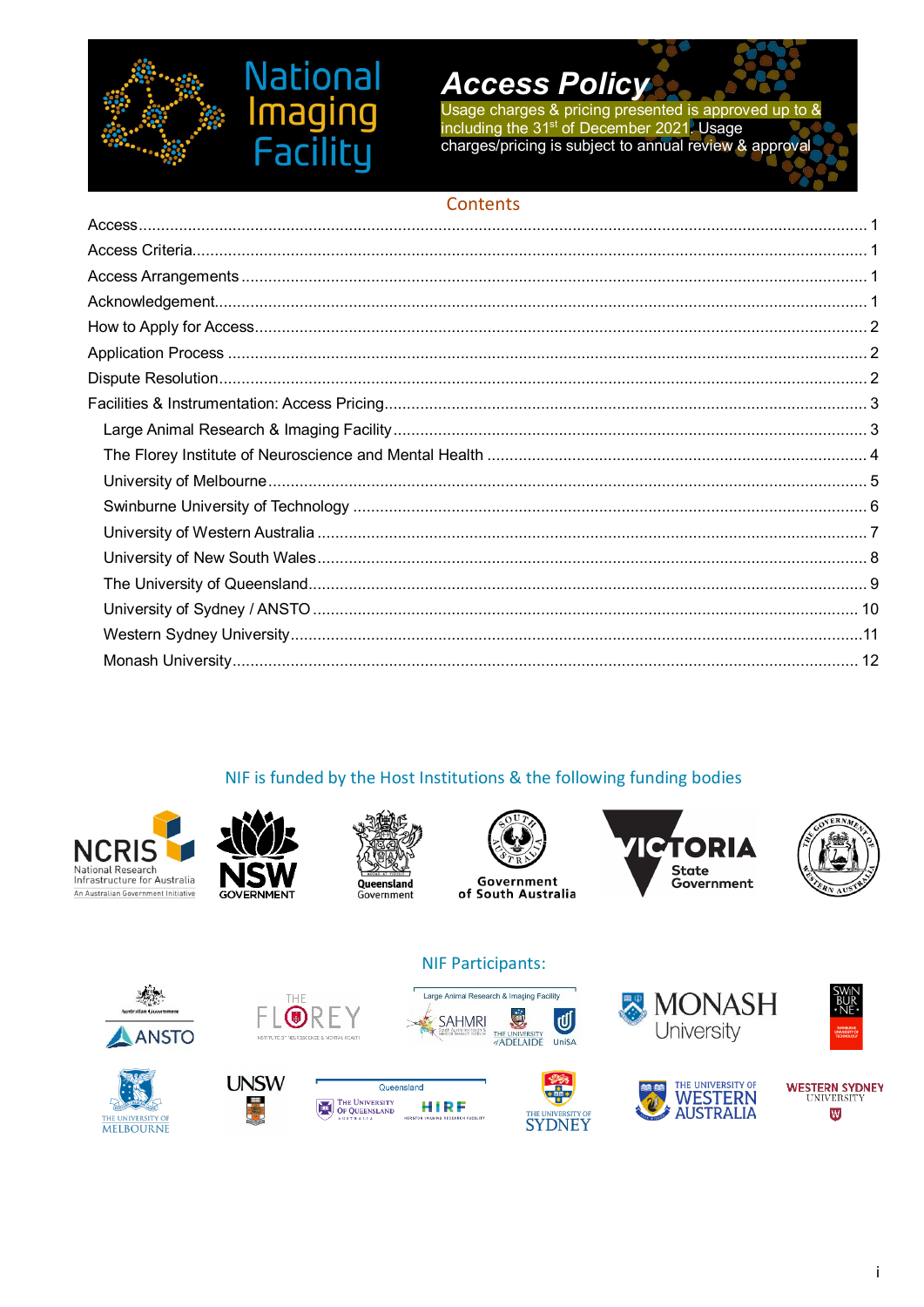

# **National** ng Facili

# **Access Policy**

Usage charges & pricing presented is approved up to &<br>including the 31<sup>st</sup> of December 2021. Usage charges/pricing is subject to annual review & approval

# Contents

# NIF is funded by the Host Institutions & the following funding bodies





















**NIF Participants:** 

















İ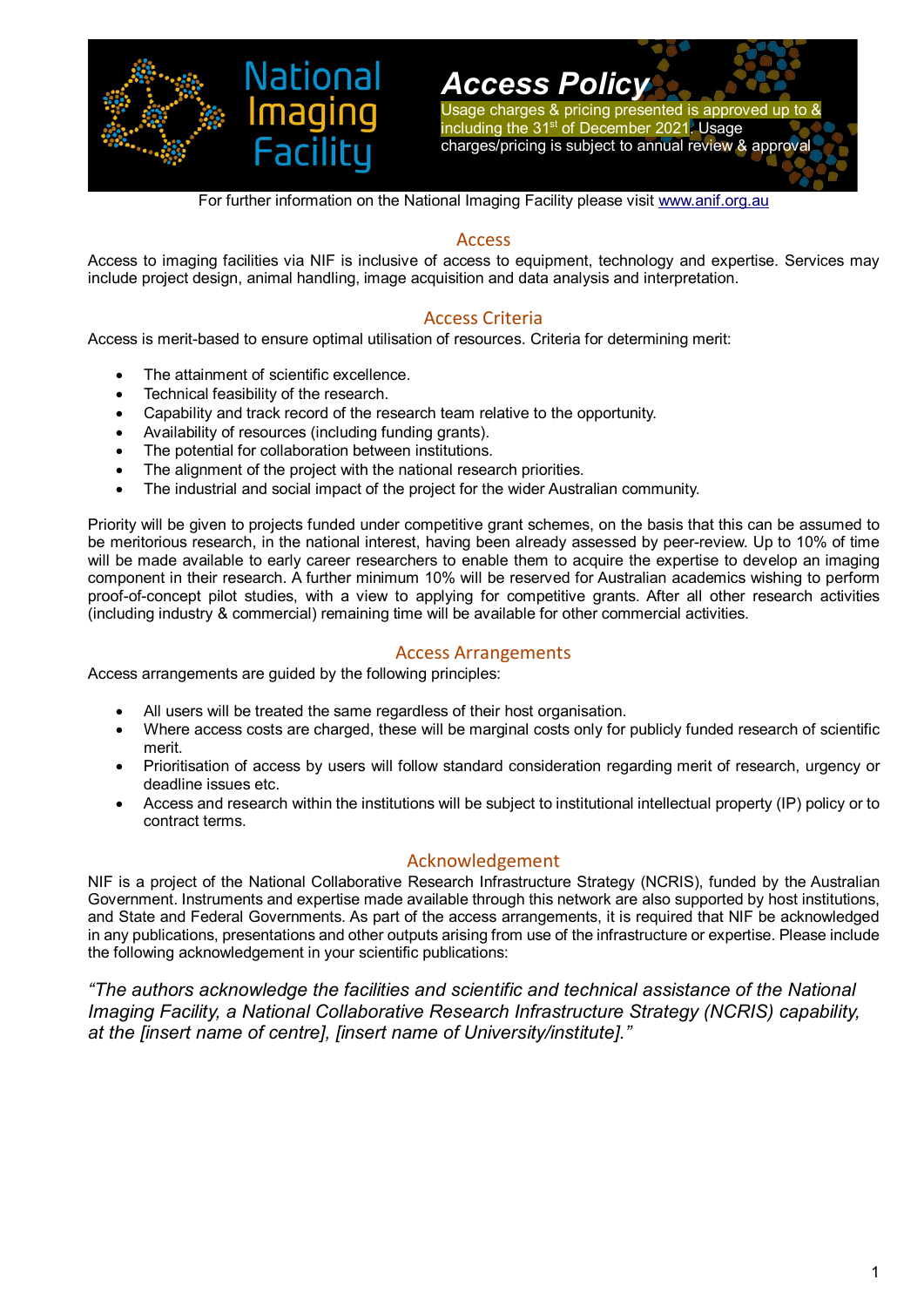

Usage charges & pricing presented is approved up to & including the 31st of December 2021. Usage charges/pricing is subject to annual review & approval

For further information on the National Imaging Facility please visit [www.anif.org.au](http://www.anif.org.au/)

### Access

<span id="page-1-0"></span>Access to imaging facilities via NIF is inclusive of access to equipment, technology and expertise. Services may include project design, animal handling, image acquisition and data analysis and interpretation.

### Access Criteria

<span id="page-1-1"></span>Access is merit-based to ensure optimal utilisation of resources. Criteria for determining merit:

- The attainment of scientific excellence.
- Technical feasibility of the research.
- Capability and track record of the research team relative to the opportunity.
- Availability of resources (including funding grants).
- The potential for collaboration between institutions.
- The alignment of the project with the national research priorities.
- The industrial and social impact of the project for the wider Australian community.

Priority will be given to projects funded under competitive grant schemes, on the basis that this can be assumed to be meritorious research, in the national interest, having been already assessed by peer-review. Up to 10% of time will be made available to early career researchers to enable them to acquire the expertise to develop an imaging component in their research. A further minimum 10% will be reserved for Australian academics wishing to perform proof-of-concept pilot studies, with a view to applying for competitive grants. After all other research activities (including industry & commercial) remaining time will be available for other commercial activities.

#### Access Arrangements

<span id="page-1-2"></span>Access arrangements are guided by the following principles:

- All users will be treated the same regardless of their host organisation.
- Where access costs are charged, these will be marginal costs only for publicly funded research of scientific merit.
- Prioritisation of access by users will follow standard consideration regarding merit of research, urgency or deadline issues etc.
- Access and research within the institutions will be subject to institutional intellectual property (IP) policy or to contract terms.

### Acknowledgement

<span id="page-1-3"></span>NIF is a project of the National Collaborative Research Infrastructure Strategy (NCRIS), funded by the Australian Government. Instruments and expertise made available through this network are also supported by host institutions, and State and Federal Governments. As part of the access arrangements, it is required that NIF be acknowledged in any publications, presentations and other outputs arising from use of the infrastructure or expertise. Please include the following acknowledgement in your scientific publications:

*"The authors acknowledge the facilities and scientific and technical assistance of the National Imaging Facility, a National Collaborative Research Infrastructure Strategy (NCRIS) capability, at the [insert name of centre], [insert name of University/institute]."*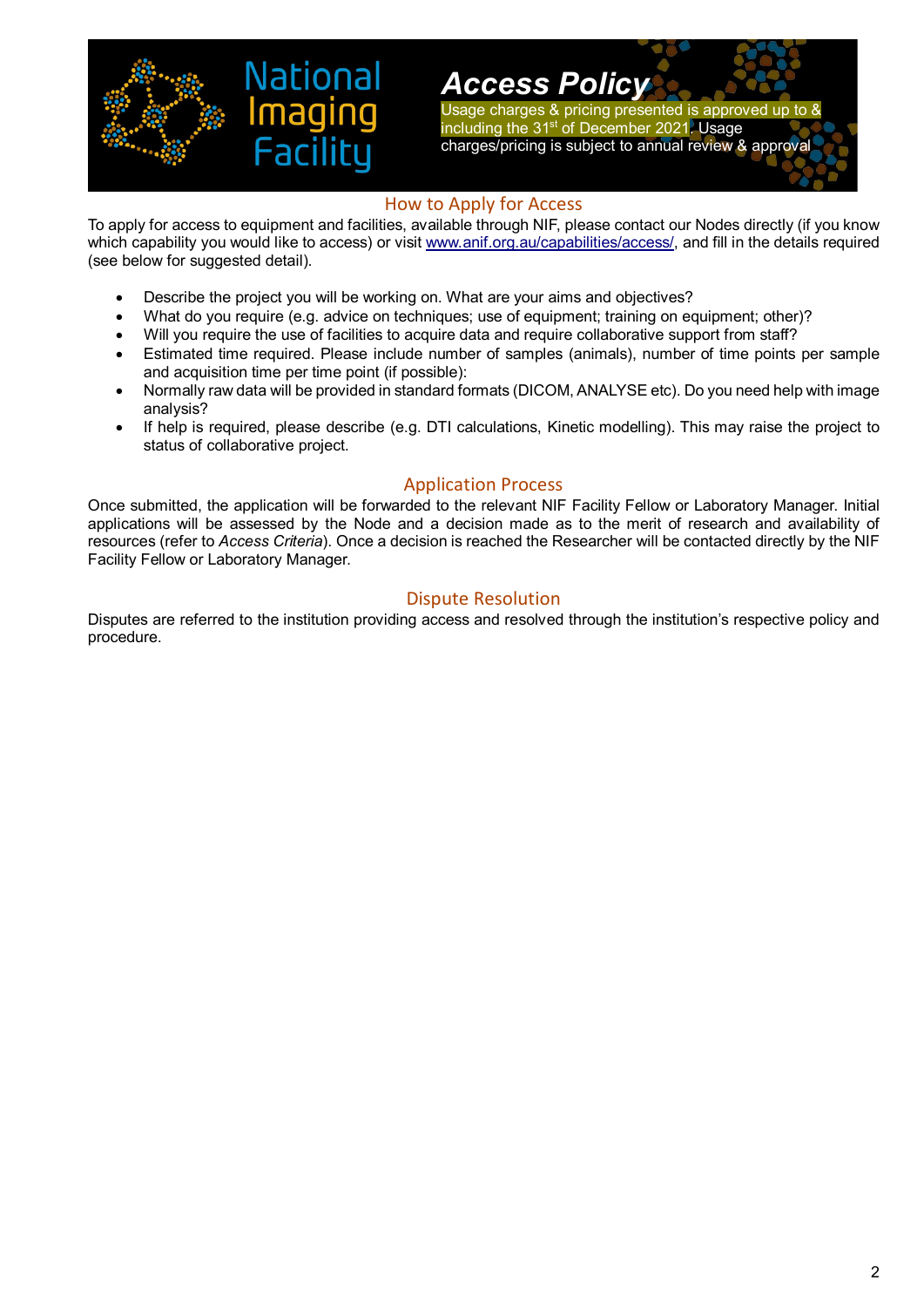

Usage charges & pricing presented is approved up to & including the 31st of December 2021. Usage charges/pricing is subject to annual review & approval

### How to Apply for Access

<span id="page-2-0"></span>To apply for access to equipment and facilities, available through NIF, please contact our Nodes directly (if you know which capability you would like to access) or visit [www.anif.org.au/capabilities/access/,](http://www.anif.org.au/capabilities/access/) and fill in the details required (see below for suggested detail).

- Describe the project you will be working on. What are your aims and objectives?
- What do you require (e.g. advice on techniques; use of equipment; training on equipment; other)?
- Will you require the use of facilities to acquire data and require collaborative support from staff?
- Estimated time required. Please include number of samples (animals), number of time points per sample and acquisition time per time point (if possible):
- Normally raw data will be provided in standard formats (DICOM, ANALYSE etc). Do you need help with image analysis?
- If help is required, please describe (e.g. DTI calculations, Kinetic modelling). This may raise the project to status of collaborative project.

### Application Process

<span id="page-2-1"></span>Once submitted, the application will be forwarded to the relevant NIF Facility Fellow or Laboratory Manager. Initial applications will be assessed by the Node and a decision made as to the merit of research and availability of resources (refer to *Access Criteria*). Once a decision is reached the Researcher will be contacted directly by the NIF Facility Fellow or Laboratory Manager.

### Dispute Resolution

<span id="page-2-2"></span>Disputes are referred to the institution providing access and resolved through the institution's respective policy and procedure.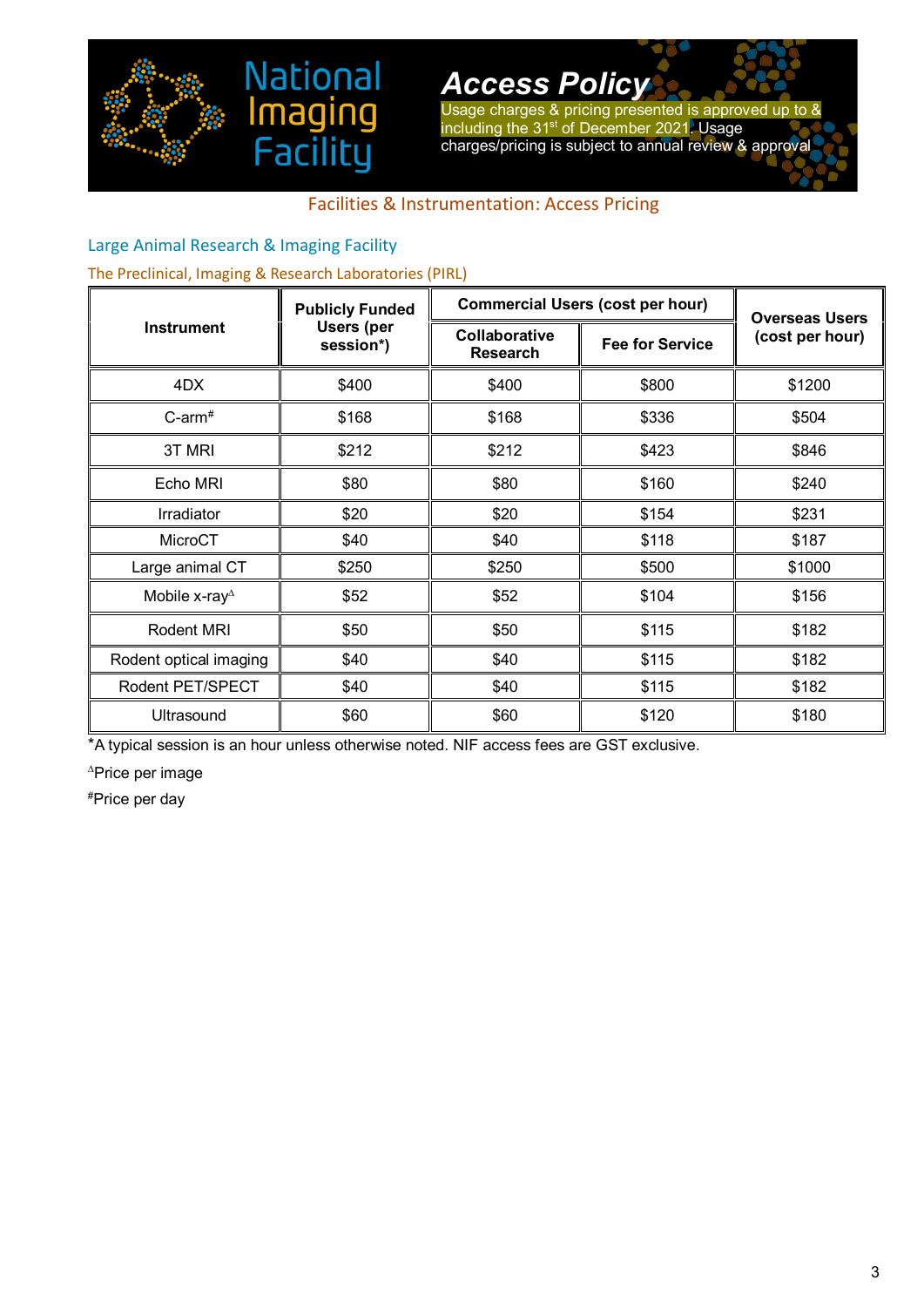

Usage charges & pricing presented is approved up to & including the 31<sup>st</sup> of December 2021. Usage charges/pricing is subject to annual review & approval

# Facilities & Instrumentation: Access Pricing

## <span id="page-3-1"></span><span id="page-3-0"></span>Large Animal Research & Imaging Facility

### The Preclinical, Imaging & Research Laboratories (PIRL)

aa

ina

|                          | <b>Publicly Funded</b>         | <b>Commercial Users (cost per hour)</b> |                        | <b>Overseas Users</b> |
|--------------------------|--------------------------------|-----------------------------------------|------------------------|-----------------------|
| <b>Instrument</b>        | <b>Users (per</b><br>session*) | Collaborative<br><b>Research</b>        | <b>Fee for Service</b> | (cost per hour)       |
| 4DX                      | \$400                          | \$400                                   | \$800                  | \$1200                |
| $C$ -arm <sup>#</sup>    | \$168                          | \$168                                   | \$336                  | \$504                 |
| 3T MRI                   | \$212                          | \$212                                   | \$423                  | \$846                 |
| Echo MRI                 | \$80                           | \$80                                    | \$160                  | \$240                 |
| Irradiator               | \$20                           | \$20                                    | \$154                  | \$231                 |
| MicroCT                  | \$40                           | \$40                                    | \$118                  | \$187                 |
| Large animal CT          | \$250                          | \$250                                   | \$500                  | \$1000                |
| Mobile x-ray $^{\Delta}$ | \$52                           | \$52                                    | \$104                  | \$156                 |
| Rodent MRI               | \$50                           | \$50                                    | \$115                  | \$182                 |
| Rodent optical imaging   | \$40                           | \$40                                    | \$115                  | \$182                 |
| Rodent PET/SPECT         | \$40                           | \$40                                    | \$115                  | \$182                 |
| Ultrasound               | \$60                           | \$60                                    | \$120                  | \$180                 |

\*A typical session is an hour unless otherwise noted. NIF access fees are GST exclusive.

<sup>∆</sup>Price per image

#Price per day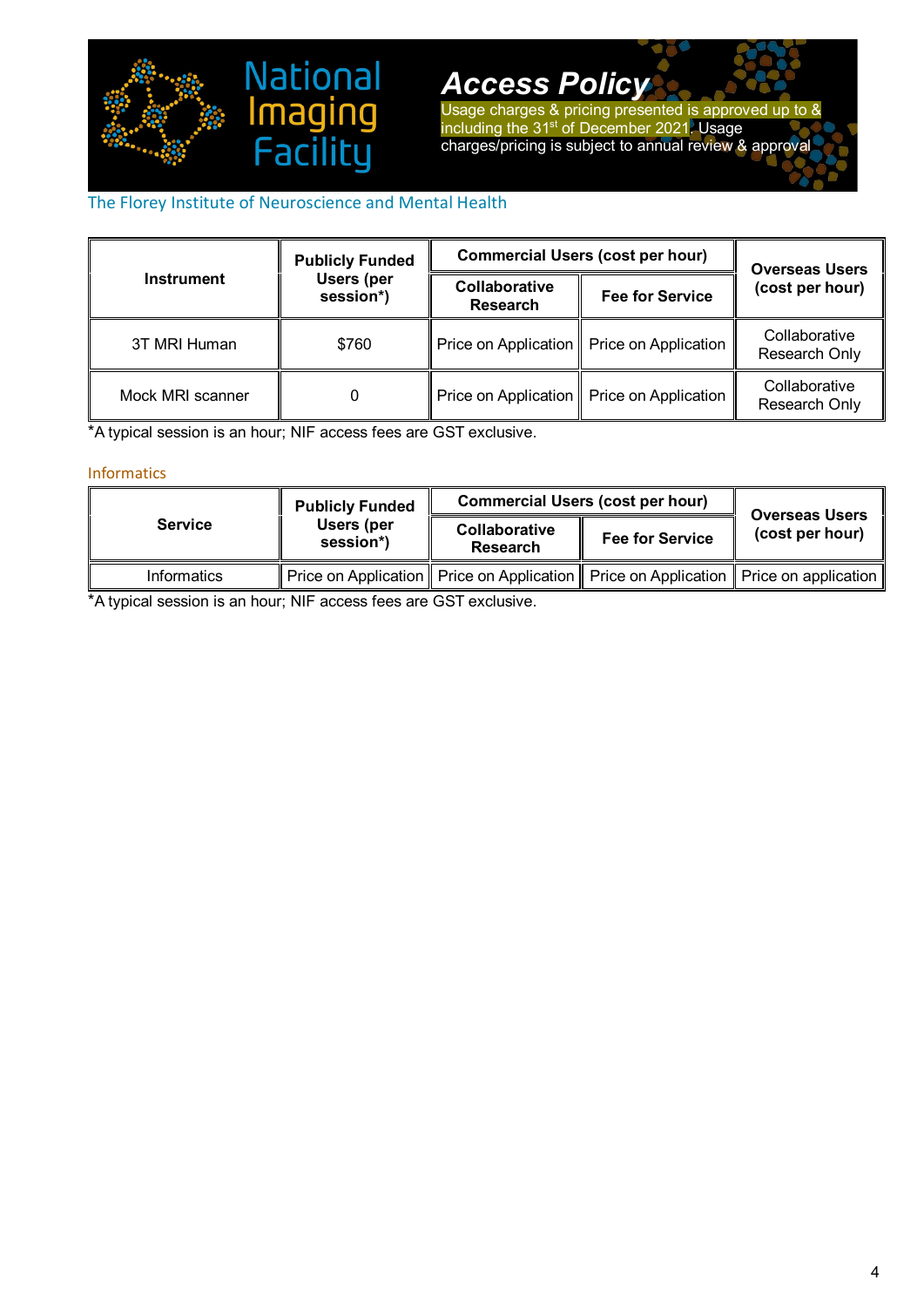

Usage charges & pricing presented is approved up to & including the 31<sup>st</sup> of December 2021. Usage charges/pricing is subject to annual review & approval

## <span id="page-4-0"></span>The Florey Institute of Neuroscience and Mental Health

|                   | <b>Publicly Funded</b>         | <b>Commercial Users (cost per hour)</b> | <b>Overseas Users</b>                       |                                |
|-------------------|--------------------------------|-----------------------------------------|---------------------------------------------|--------------------------------|
| <b>Instrument</b> | <b>Users (per</b><br>session*) | Collaborative<br><b>Research</b>        | <b>Fee for Service</b>                      | (cost per hour)                |
| 3T MRI Human      | \$760                          |                                         | Price on Application   Price on Application | Collaborative<br>Research Only |
| Mock MRI scanner  |                                |                                         | Price on Application   Price on Application | Collaborative<br>Research Only |

\*A typical session is an hour; NIF access fees are GST exclusive.

#### Informatics

|                | <b>Publicly Funded</b>  |                           | <b>Commercial Users (cost per hour)</b>                                                      | <b>Overseas Users</b> |
|----------------|-------------------------|---------------------------|----------------------------------------------------------------------------------------------|-----------------------|
| <b>Service</b> | Users (per<br>session*) | Collaborative<br>Research | <b>Fee for Service</b>                                                                       | (cost per hour)       |
| Informatics    |                         |                           | Price on Application    Price on Application    Price on Application    Price on application |                       |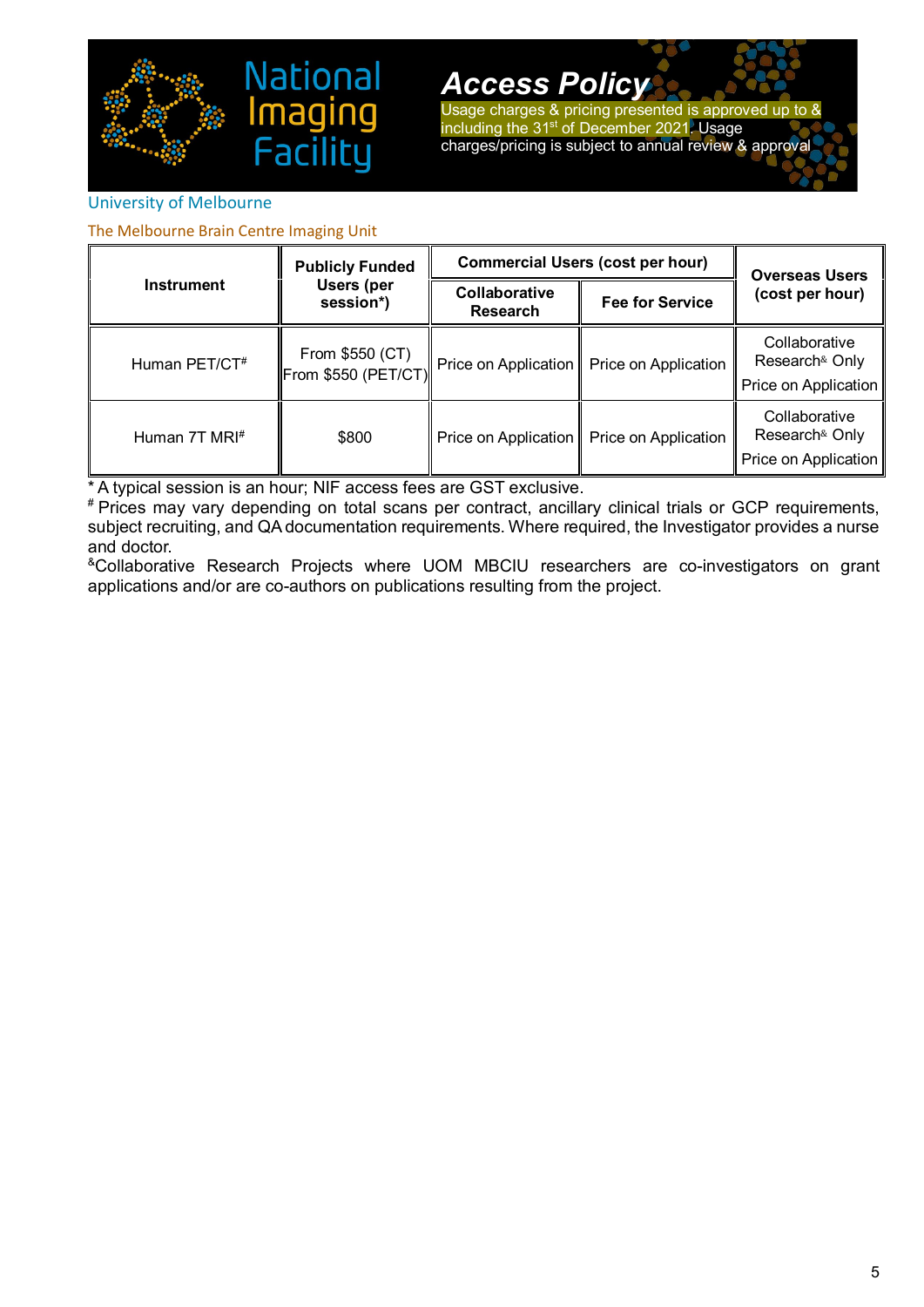

Usage charges & pricing presented is approved up to & including the 31<sup>st</sup> of December 2021. Usage charges/pricing is subject to annual review & approval

### <span id="page-5-0"></span>University of Melbourne

The Melbourne Brain Centre Imaging Unit

|                           | <b>Publicly Funded</b>                              | <b>Commercial Users (cost per hour)</b>                    |                                             | <b>Overseas Users</b>                                                   |
|---------------------------|-----------------------------------------------------|------------------------------------------------------------|---------------------------------------------|-------------------------------------------------------------------------|
| <b>Instrument</b>         | Users (per<br>session*)                             | Collaborative<br><b>Fee for Service</b><br><b>Research</b> |                                             | (cost per hour)                                                         |
| Human PET/CT <sup>#</sup> | From \$550 (CT)<br>$\left\Vert$ From \$550 (PET/CT) |                                                            | Price on Application   Price on Application | Collaborative<br>Research <sup>&amp;</sup> Only<br>Price on Application |
| Human 7T MRI#             | \$800                                               |                                                            | Price on Application   Price on Application | Collaborative<br>Research <sup>&amp;</sup> Only<br>Price on Application |

\* A typical session is an hour; NIF access fees are GST exclusive.

# Prices may vary depending on total scans per contract, ancillary clinical trials or GCP requirements, subject recruiting, and QA documentation requirements. Where required, the Investigator provides a nurse and doctor.

&Collaborative Research Projects where UOM MBCIU researchers are co-investigators on grant applications and/or are co-authors on publications resulting from the project.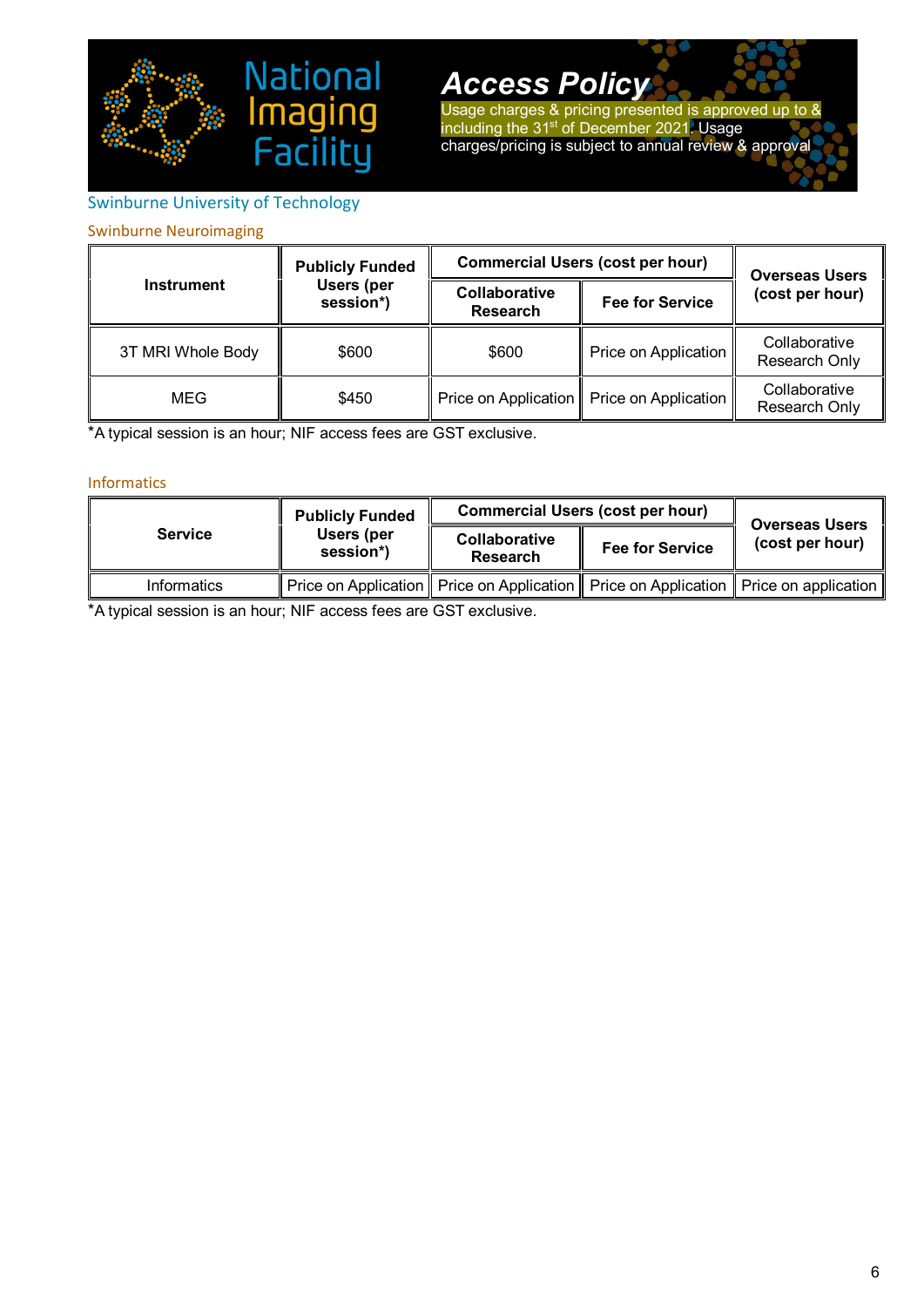

Usage charges & pricing presented is approved up to & including the 31<sup>st</sup> of December 2021. Usage charges/pricing is subject to annual review & approval

# <span id="page-6-0"></span>Swinburne University of Technology

### Swinburne Neuroimaging

|                   | <b>Publicly Funded</b>  |                                  | <b>Commercial Users (cost per hour)</b>     | <b>Overseas Users</b>          |
|-------------------|-------------------------|----------------------------------|---------------------------------------------|--------------------------------|
| <b>Instrument</b> | Users (per<br>session*) | Collaborative<br><b>Research</b> | <b>Fee for Service</b>                      | (cost per hour)                |
| 3T MRI Whole Body | \$600                   | \$600                            | Price on Application                        | Collaborative<br>Research Only |
| MEG               | \$450                   |                                  | Price on Application   Price on Application | Collaborative<br>Research Only |

\*A typical session is an hour; NIF access fees are GST exclusive.

#### Informatics

|                | <b>Publicly Funded</b>  | <b>Commercial Users (cost per hour)</b> |                                                                                              | <b>Overseas Users</b> |
|----------------|-------------------------|-----------------------------------------|----------------------------------------------------------------------------------------------|-----------------------|
| <b>Service</b> | Users (per<br>session*) | Collaborative<br>Research               | <b>Fee for Service</b>                                                                       | (cost per hour)       |
| Informatics    |                         |                                         | Price on Application    Price on Application    Price on Application    Price on application |                       |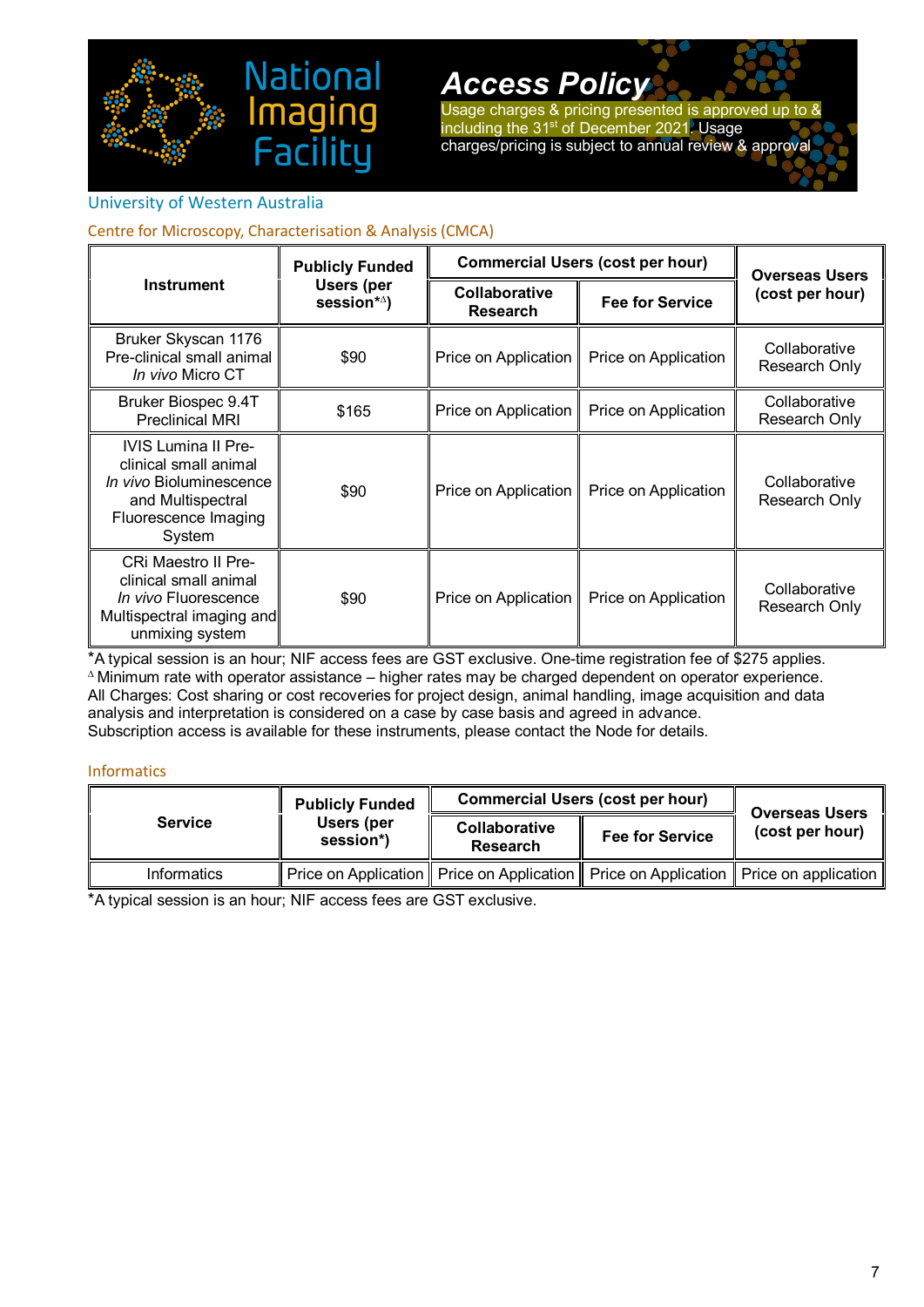

Usage charges & pricing presented is approved up to & including the 31<sup>st</sup> of December 2021. Usage charges/pricing is subject to annual review & approval

### <span id="page-7-0"></span>University of Western Australia

### Centre for Microscopy, Characterisation & Analysis (CMCA)

|                                                                                                                                       | <b>Publicly Funded</b>                       | <b>Commercial Users (cost per hour)</b> |                        | <b>Overseas Users</b>          |
|---------------------------------------------------------------------------------------------------------------------------------------|----------------------------------------------|-----------------------------------------|------------------------|--------------------------------|
| <b>Instrument</b>                                                                                                                     | <b>Users (per</b><br>session* <sup>^</sup> ) | Collaborative<br><b>Research</b>        | <b>Fee for Service</b> | (cost per hour)                |
| Bruker Skyscan 1176<br>Pre-clinical small animal<br><i>In vivo</i> Micro CT                                                           | \$90                                         | Price on Application                    | Price on Application   | Collaborative<br>Research Only |
| Bruker Biospec 9.4T<br><b>Preclinical MRI</b>                                                                                         | \$165                                        | Price on Application                    | Price on Application   | Collaborative<br>Research Only |
| <b>IVIS Lumina II Pre-</b><br>clinical small animal<br>In vivo Bioluminescence<br>and Multispectral<br>Fluorescence Imaging<br>System | \$90                                         | Price on Application                    | Price on Application   | Collaborative<br>Research Only |
| <b>CRI Maestro II Pre-</b><br>clinical small animal<br>In vivo Fluorescence<br>Multispectral imaging and<br>unmixing system           | \$90                                         | Price on Application                    | Price on Application   | Collaborative<br>Research Only |

\*A typical session is an hour; NIF access fees are GST exclusive. One-time registration fee of \$275 applies. <sup>∆</sup>Minimum rate with operator assistance – higher rates may be charged dependent on operator experience. All Charges: Cost sharing or cost recoveries for project design, animal handling, image acquisition and data analysis and interpretation is considered on a case by case basis and agreed in advance. Subscription access is available for these instruments, please contact the Node for details.

### Informatics

|                    | <b>Publicly Funded</b>  | <b>Commercial Users (cost per hour)</b> |                                                                                              | <b>Overseas Users</b> |
|--------------------|-------------------------|-----------------------------------------|----------------------------------------------------------------------------------------------|-----------------------|
| <b>Service</b>     | Users (per<br>session*) | Collaborative<br>Research               | <b>Fee for Service</b>                                                                       | (cost per hour)       |
| <b>Informatics</b> |                         |                                         | Price on Application    Price on Application    Price on Application    Price on application |                       |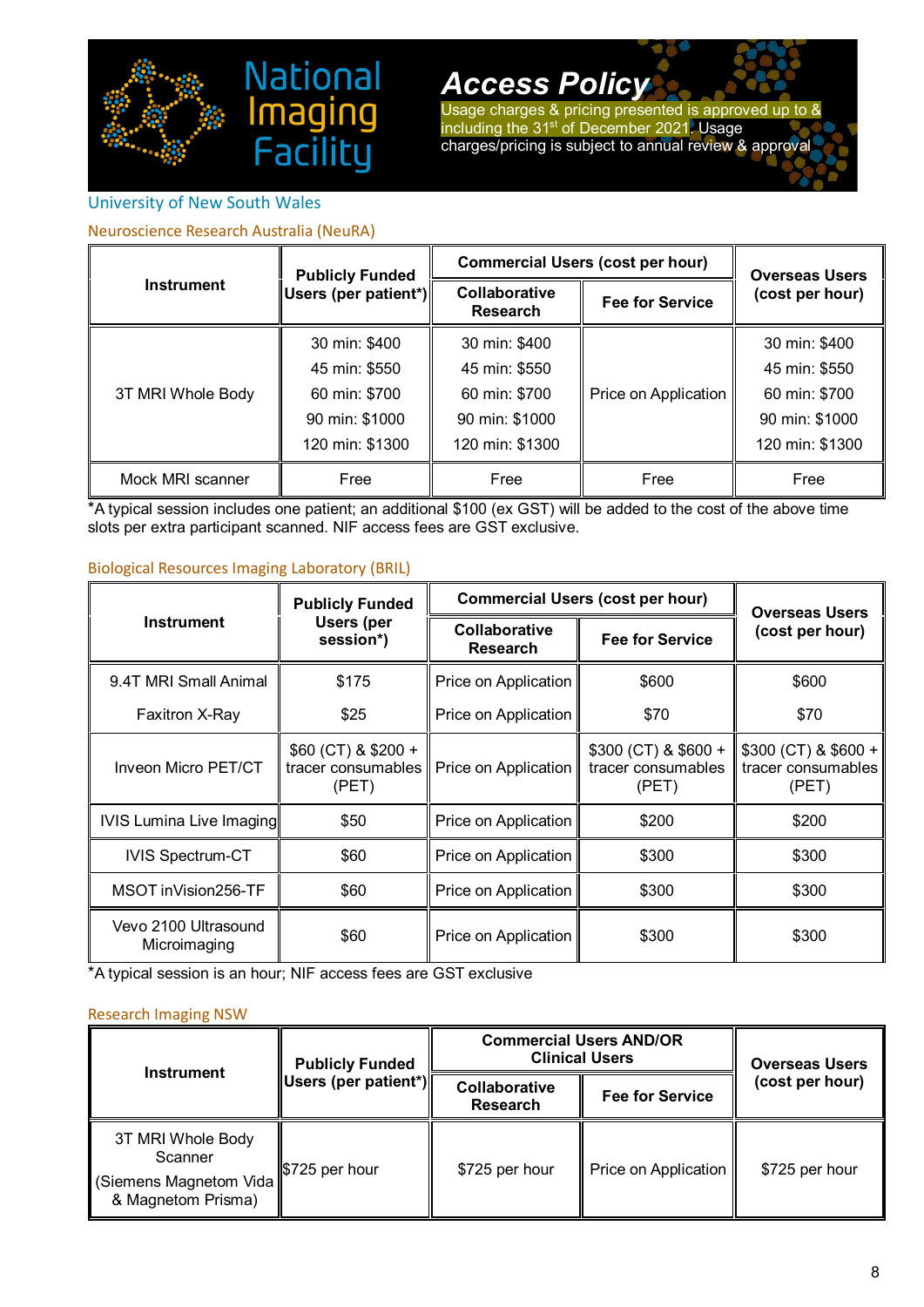

Usage charges & pricing presented is approved up to & including the 31<sup>st</sup> of December 2021. Usage charges/pricing is subject to annual review & approval

## <span id="page-8-0"></span>University of New South Wales

### Neuroscience Research Australia (NeuRA)

|                   | <b>Publicly Funded</b> | <b>Commercial Users (cost per hour)</b> |                        | <b>Overseas Users</b> |
|-------------------|------------------------|-----------------------------------------|------------------------|-----------------------|
| <b>Instrument</b> | ∥Users (per patient*)∥ | Collaborative<br><b>Research</b>        | <b>Fee for Service</b> | (cost per hour)       |
|                   | 30 min: \$400          | 30 min: \$400                           |                        | 30 min: \$400         |
| 3T MRI Whole Body | 45 min: \$550          | 45 min: \$550                           | Price on Application   | 45 min: \$550         |
|                   | 60 min: \$700          | 60 min: \$700                           |                        | 60 min: \$700         |
|                   | 90 min: \$1000         | 90 min: \$1000                          |                        | 90 min: \$1000        |
|                   | 120 min: \$1300        | 120 min: \$1300                         |                        | 120 min: \$1300       |
| Mock MRI scanner  | Free                   | Free                                    | Free                   | Free                  |

\*A typical session includes one patient; an additional \$100 (ex GST) will be added to the cost of the above time slots per extra participant scanned. NIF access fees are GST exclusive.

#### Biological Resources Imaging Laboratory (BRIL)

|                                      | <b>Publicly Funded</b>                                | <b>Commercial Users (cost per hour)</b> |                                                       | <b>Overseas Users</b>                                 |
|--------------------------------------|-------------------------------------------------------|-----------------------------------------|-------------------------------------------------------|-------------------------------------------------------|
| Instrument                           | Users (per<br>session*)                               | Collaborative<br><b>Research</b>        | <b>Fee for Service</b>                                | (cost per hour)                                       |
| 9.4T MRI Small Animal                | \$175                                                 | Price on Application                    | \$600                                                 | \$600                                                 |
| Faxitron X-Ray                       | \$25                                                  | Price on Application                    | \$70                                                  | \$70                                                  |
| Inveon Micro PET/CT                  | \$60 (CT) & \$200 +<br>tracer consumables II<br>(PET) | Price on Application                    | $$300$ (CT) & $$600 +$<br>tracer consumables<br>(PET) | $$300$ (CT) & $$600 +$<br>tracer consumables<br>(PET) |
| IVIS Lumina Live Imaging             | \$50                                                  | Price on Application                    | \$200                                                 | \$200                                                 |
| <b>IVIS Spectrum-CT</b>              | \$60                                                  | Price on Application                    | \$300                                                 | \$300                                                 |
| MSOT inVision256-TF                  | \$60                                                  | Price on Application                    | \$300                                                 | \$300                                                 |
| Vevo 2100 Ultrasound<br>Microimaging | \$60                                                  | Price on Application                    | \$300                                                 | \$300                                                 |

\*A typical session is an hour; NIF access fees are GST exclusive

#### Research Imaging NSW

| <b>Instrument</b>                                                             | <b>Publicly Funded</b> |                                  | <b>Commercial Users AND/OR</b><br><b>Clinical Users</b> | <b>Overseas Users</b> |
|-------------------------------------------------------------------------------|------------------------|----------------------------------|---------------------------------------------------------|-----------------------|
|                                                                               | Users (per patient*)   | Collaborative<br><b>Research</b> | <b>Fee for Service</b>                                  | (cost per hour)       |
| 3T MRI Whole Body<br>Scanner<br>(Siemens Magnetom Vida)<br>& Magnetom Prisma) | \$725 per hour         | \$725 per hour                   | Price on Application                                    | \$725 per hour        |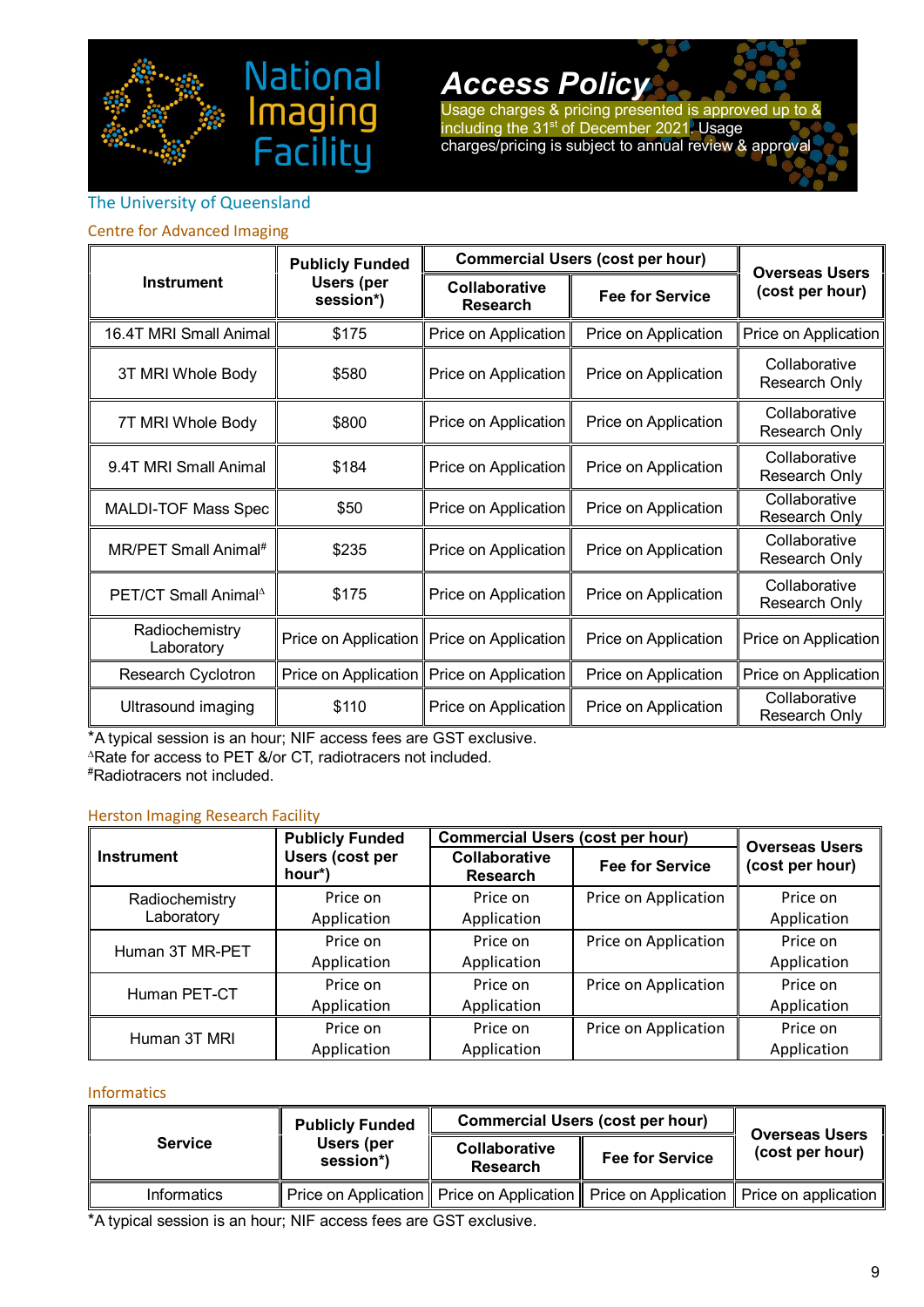

Usage charges & pricing presented is approved up to & including the 31<sup>st</sup> of December 2021. Usage charges/pricing is subject to annual review & approval

## <span id="page-9-0"></span>The University of Queensland

#### Centre for Advanced Imaging

| <b>Instrument</b>                | <b>Publicly Funded</b>         |                                             | <b>Commercial Users (cost per hour)</b> | <b>Overseas Users</b><br>(cost per hour) |
|----------------------------------|--------------------------------|---------------------------------------------|-----------------------------------------|------------------------------------------|
|                                  | <b>Users (per</b><br>session*) | Collaborative<br><b>Research</b>            | <b>Fee for Service</b>                  |                                          |
| 16.4T MRI Small Animal           | \$175                          | Price on Application                        | Price on Application                    | Price on Application                     |
| 3T MRI Whole Body                | \$580                          | Price on Application                        | Price on Application                    | Collaborative<br>Research Only           |
| 7T MRI Whole Body                | \$800                          | Price on Application                        | Price on Application                    | Collaborative<br>Research Only           |
| 9.4T MRI Small Animal            | \$184                          | Price on Application                        | Price on Application                    | Collaborative<br>Research Only           |
| MALDI-TOF Mass Spec              | \$50                           | Price on Application                        | Price on Application                    | Collaborative<br>Research Only           |
| MR/PET Small Animal#             | \$235                          | Price on Application                        | Price on Application                    | Collaborative<br>Research Only           |
| PET/CT Small Animal <sup>A</sup> | \$175                          | Price on Application                        | Price on Application                    | Collaborative<br>Research Only           |
| Radiochemistry<br>Laboratory     |                                | Price on Application   Price on Application | Price on Application                    | Price on Application                     |
| <b>Research Cyclotron</b>        | Price on Application           | Price on Application                        | Price on Application                    | Price on Application                     |
| Ultrasound imaging               | \$110                          | Price on Application                        | Price on Application                    | Collaborative<br>Research Only           |

\*A typical session is an hour; NIF access fees are GST exclusive.

ina

<sup>∆</sup>Rate for access to PET &/or CT, radiotracers not included.

# Radiotracers not included.

#### Herston Imaging Research Facility

|                              | <b>Publicly Funded</b>           | Commercial Users (cost per hour)        |                        | <b>Overseas Users</b>   |
|------------------------------|----------------------------------|-----------------------------------------|------------------------|-------------------------|
| <b>Instrument</b>            | <b>Users (cost per</b><br>hour*) | <b>Collaborative</b><br><b>Research</b> | <b>Fee for Service</b> | (cost per hour)         |
| Radiochemistry<br>Laboratory | Price on<br>Application          | Price on<br>Application                 | Price on Application   | Price on<br>Application |
| Human 3T MR-PET              | Price on<br>Application          | Price on<br>Application                 | Price on Application   | Price on<br>Application |
| Human PET-CT                 | Price on<br>Application          | Price on<br>Application                 | Price on Application   | Price on<br>Application |
| Human 3T MRI                 | Price on<br>Application          | Price on<br>Application                 | Price on Application   | Price on<br>Application |

#### Informatics

| <b>Service</b> | <b>Publicly Funded</b>  | <b>Commercial Users (cost per hour)</b> |                                                                                              | <b>Overseas Users</b> |
|----------------|-------------------------|-----------------------------------------|----------------------------------------------------------------------------------------------|-----------------------|
|                | Users (per<br>session*) | Collaborative<br>Research               | <b>Fee for Service</b>                                                                       | (cost per hour)       |
| Informatics    |                         |                                         | Price on Application    Price on Application    Price on Application    Price on application |                       |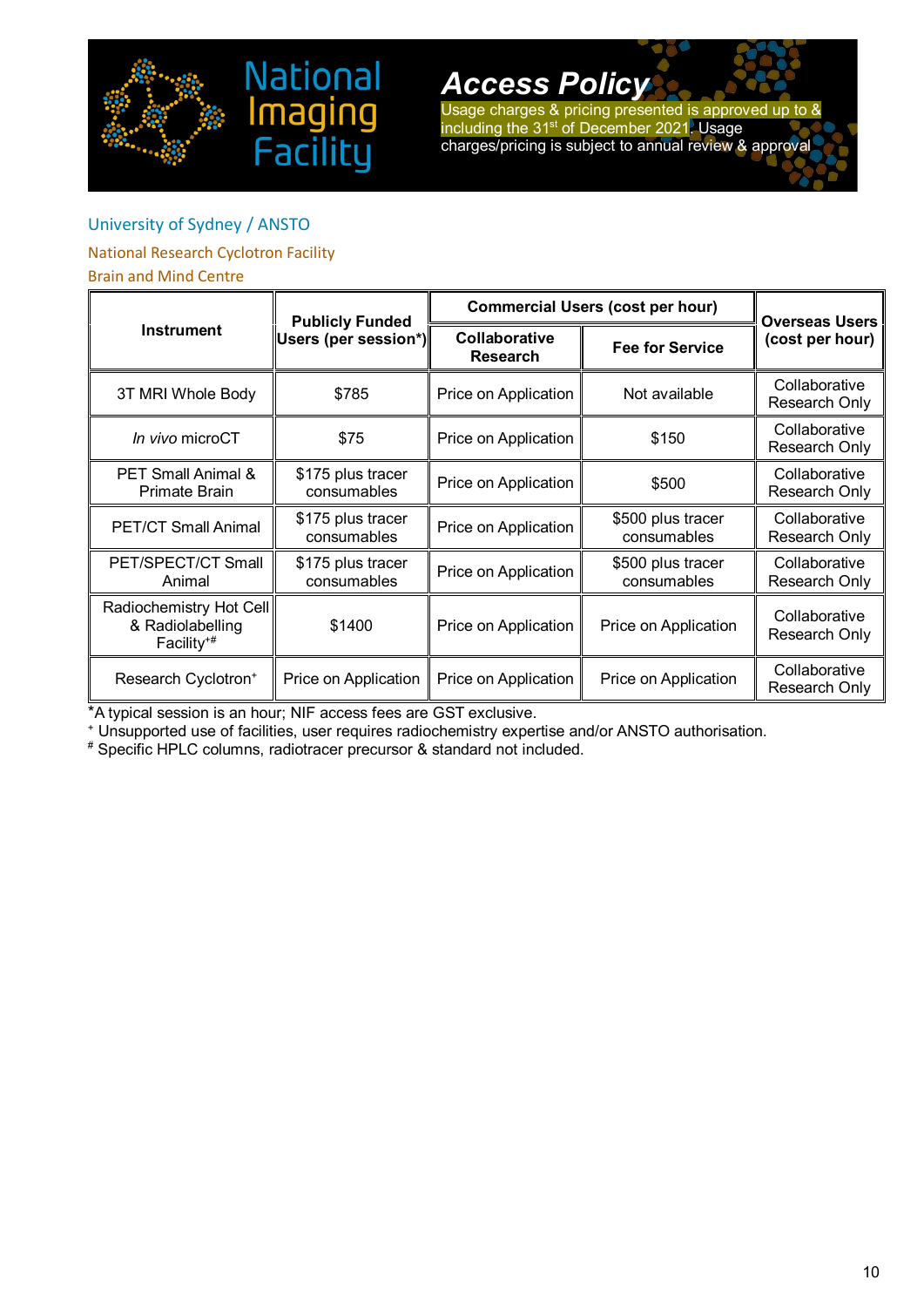



Usage charges & pricing presented is approved up to & including the 31<sup>st</sup> of December 2021. Usage charges/pricing is subject to annual review & approval

## <span id="page-10-0"></span>University of Sydney / ANSTO

## National Research Cyclotron Facility

### Brain and Mind Centre

| <b>Instrument</b>                                                     | <b>Publicly Funded</b>           | <b>Commercial Users (cost per hour)</b> |                                  | <b>Overseas Users</b>          |  |
|-----------------------------------------------------------------------|----------------------------------|-----------------------------------------|----------------------------------|--------------------------------|--|
|                                                                       | Users (per session*)             | Collaborative<br><b>Research</b>        | <b>Fee for Service</b>           | (cost per hour)                |  |
| 3T MRI Whole Body                                                     | \$785                            | Price on Application                    | Not available                    | Collaborative<br>Research Only |  |
| In vivo microCT                                                       | \$75                             | Price on Application                    | \$150                            | Collaborative<br>Research Only |  |
| PET Small Animal &<br><b>Primate Brain</b>                            | \$175 plus tracer<br>consumables | Price on Application                    | \$500                            | Collaborative<br>Research Only |  |
| <b>PET/CT Small Animal</b>                                            | \$175 plus tracer<br>consumables | Price on Application                    | \$500 plus tracer<br>consumables | Collaborative<br>Research Only |  |
| PET/SPECT/CT Small<br>Animal                                          | \$175 plus tracer<br>consumables | Price on Application                    | \$500 plus tracer<br>consumables | Collaborative<br>Research Only |  |
| Radiochemistry Hot Cell<br>& Radiolabelling<br>Facility <sup>+#</sup> | \$1400                           | Price on Application                    | Price on Application             | Collaborative<br>Research Only |  |
| Research Cyclotron <sup>+</sup>                                       | Price on Application             | Price on Application                    | Price on Application             | Collaborative<br>Research Only |  |

\*A typical session is an hour; NIF access fees are GST exclusive.

<sup>+</sup> Unsupported use of facilities, user requires radiochemistry expertise and/or ANSTO authorisation.

# Specific HPLC columns, radiotracer precursor & standard not included.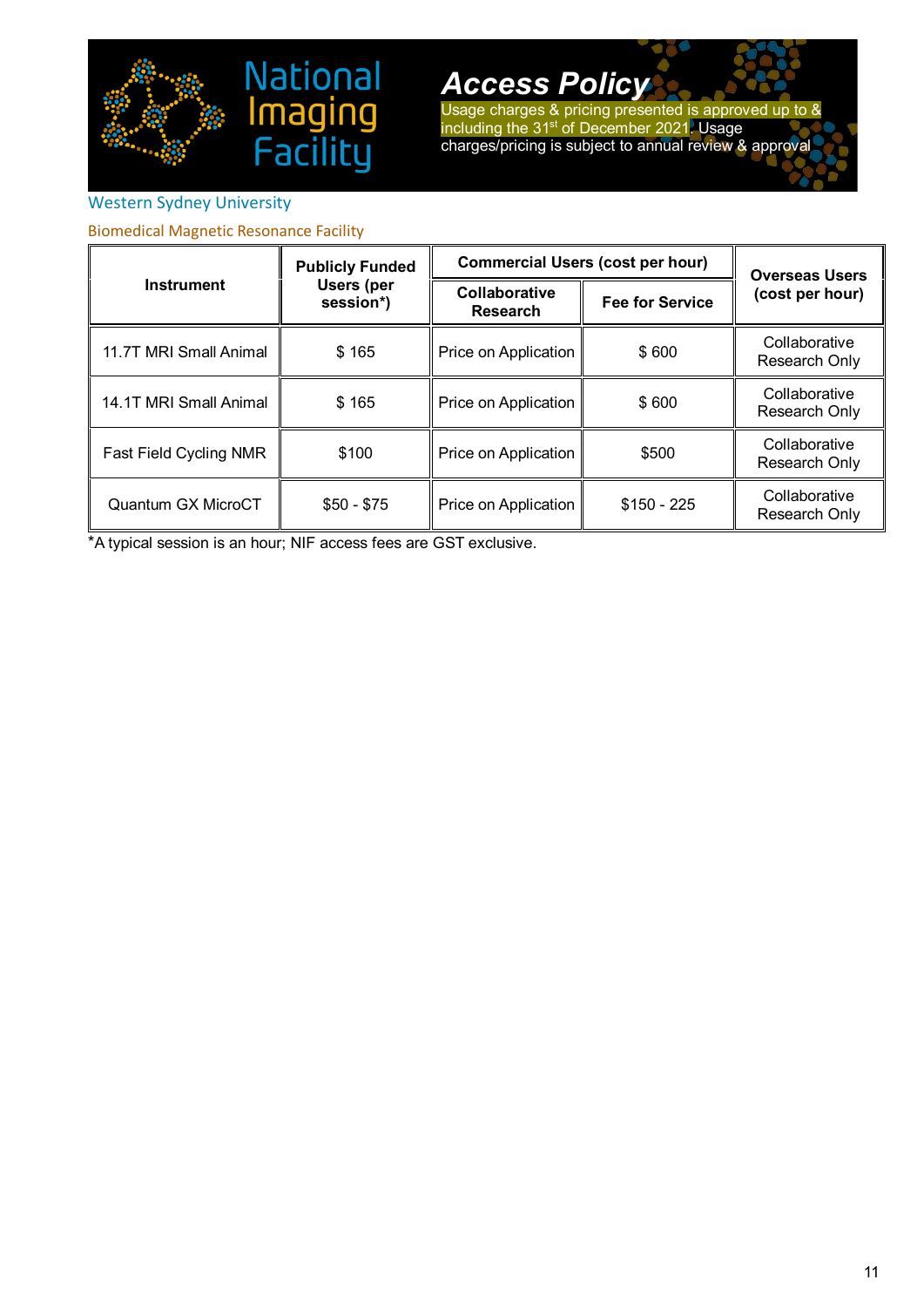

Usage charges & pricing presented is approved up to & including the 31<sup>st</sup> of December 2021. Usage charges/pricing is subject to annual review & approval

# <span id="page-11-0"></span>Western Sydney University

Biomedical Magnetic Resonance Facility

| Instrument             | <b>Publicly Funded</b>         |                                  | <b>Commercial Users (cost per hour)</b> | <b>Overseas Users</b>          |
|------------------------|--------------------------------|----------------------------------|-----------------------------------------|--------------------------------|
|                        | <b>Users (per</b><br>session*) | Collaborative<br><b>Research</b> | <b>Fee for Service</b>                  | (cost per hour)                |
| 11.7T MRI Small Animal | \$165                          | Price on Application             | \$600                                   | Collaborative<br>Research Only |
| 14.1T MRI Small Animal | \$165                          | Price on Application             | \$600                                   | Collaborative<br>Research Only |
| Fast Field Cycling NMR | \$100                          | Price on Application             | \$500                                   | Collaborative<br>Research Only |
| Quantum GX MicroCT     | $$50 - $75$                    | Price on Application             | $$150 - 225$                            | Collaborative<br>Research Only |